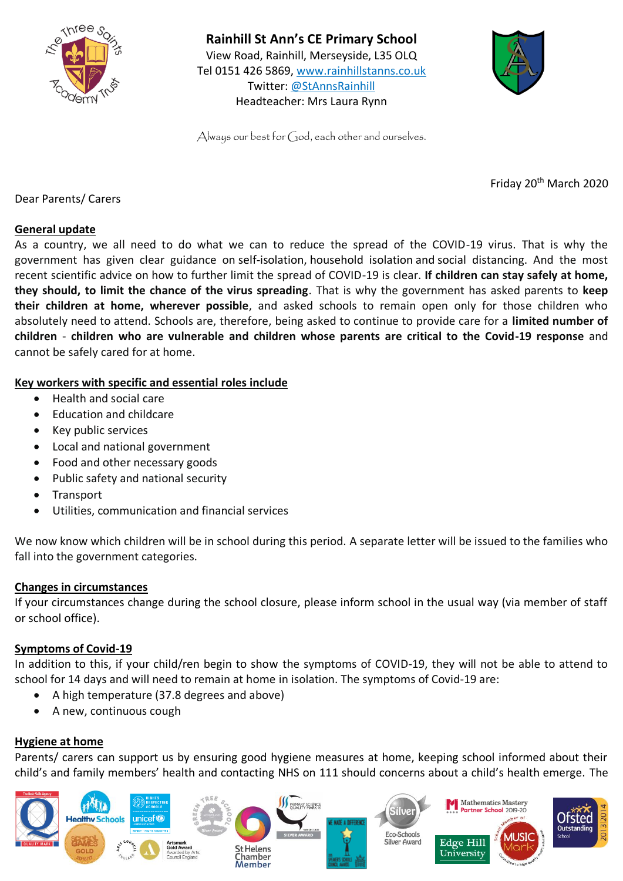



Always our best for God, each other and ourselves.

Friday 20th March 2020

Dear Parents/ Carers

#### **General update**

As a country, we all need to do what we can to reduce the spread of the COVID-19 virus. That is why the government has given clear guidance on [self-isolation,](https://www.nhs.uk/conditions/coronavirus-covid-19/self-isolation-advice/) [household](https://www.gov.uk/government/publications/covid-19-stay-at-home-guidance) isolation and social [distancing.](https://www.gov.uk/government/publications/covid-19-guidance-on-social-distancing-and-for-vulnerable-people) And the most recent scientific advice on how to further limit the spread of COVID-19 is clear. **If children can stay safely at home, they should, to limit the chance of the virus spreading**. That is why the government has asked parents to **keep their children at home, wherever possible**, and asked schools to remain open only for those children who absolutely need to attend. Schools are, therefore, being asked to continue to provide care for a **limited number of children** - **children who are vulnerable and children whose parents are critical to the Covid-19 response** and cannot be safely cared for at home.

# **Key workers with specific and essential roles include**

- Health and social care
- Education and childcare
- Key public services
- Local and national government
- Food and other necessary goods
- Public safety and national security
- Transport
- Utilities, communication and financial services

We now know which children will be in school during this period. A separate letter will be issued to the families who fall into the government categories.

#### **Changes in circumstances**

If your circumstances change during the school closure, please inform school in the usual way (via member of staff or school office).

#### **Symptoms of Covid-19**

In addition to this, if your child/ren begin to show the symptoms of COVID-19, they will not be able to attend to school for 14 days and will need to remain at home in isolation. The symptoms of Covid-19 are:

- A high temperature (37.8 degrees and above)
- A new, continuous cough

#### **Hygiene at home**

Parents/ carers can support us by ensuring good hygiene measures at home, keeping school informed about their child's and family members' health and contacting NHS on 111 should concerns about a child's health emerge. The

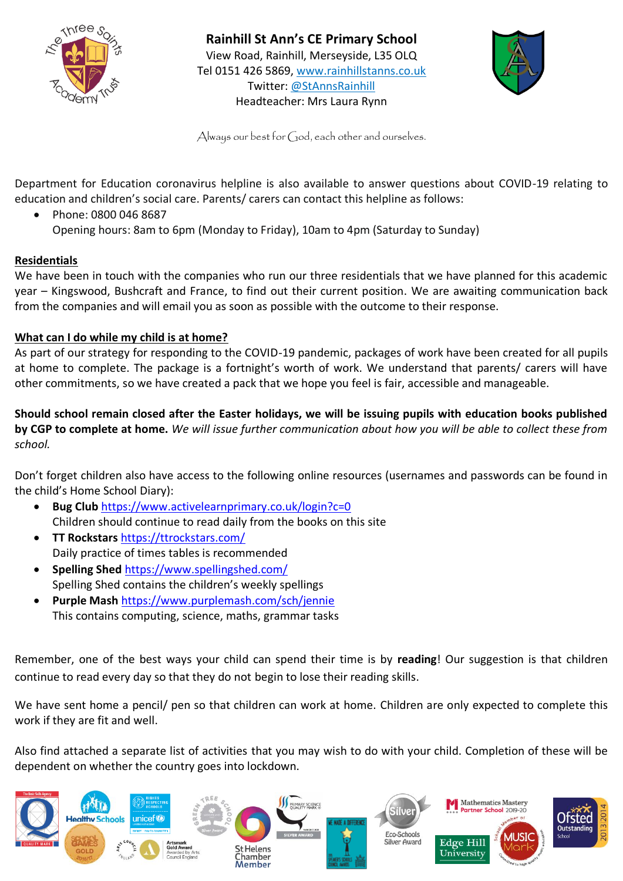



Always our best for God, each other and ourselves.

Department for Education coronavirus helpline is also available to answer questions about COVID-19 relating to education and children's social care. Parents/ carers can contact this helpline as follows:

• Phone: 0800 046 8687 Opening hours: 8am to 6pm (Monday to Friday), 10am to 4pm (Saturday to Sunday)

# **Residentials**

We have been in touch with the companies who run our three residentials that we have planned for this academic year – Kingswood, Bushcraft and France, to find out their current position. We are awaiting communication back from the companies and will email you as soon as possible with the outcome to their response.

#### **What can I do while my child is at home?**

As part of our strategy for responding to the COVID-19 pandemic, packages of work have been created for all pupils at home to complete. The package is a fortnight's worth of work. We understand that parents/ carers will have other commitments, so we have created a pack that we hope you feel is fair, accessible and manageable.

**Should school remain closed after the Easter holidays, we will be issuing pupils with education books published by CGP to complete at home.** *We will issue further communication about how you will be able to collect these from school.* 

Don't forget children also have access to the following online resources (usernames and passwords can be found in the child's Home School Diary):

- **Bug Club** <https://www.activelearnprimary.co.uk/login?c=0> Children should continue to read daily from the books on this site
- **TT Rockstars** <https://ttrockstars.com/> Daily practice of times tables is recommended
- **Spelling Shed** <https://www.spellingshed.com/> Spelling Shed contains the children's weekly spellings
- **Purple Mash** <https://www.purplemash.com/sch/jennie> This contains computing, science, maths, grammar tasks

Remember, one of the best ways your child can spend their time is by **reading**! Our suggestion is that children continue to read every day so that they do not begin to lose their reading skills.

We have sent home a pencil/ pen so that children can work at home. Children are only expected to complete this work if they are fit and well.

Also find attached a separate list of activities that you may wish to do with your child. Completion of these will be dependent on whether the country goes into lockdown.

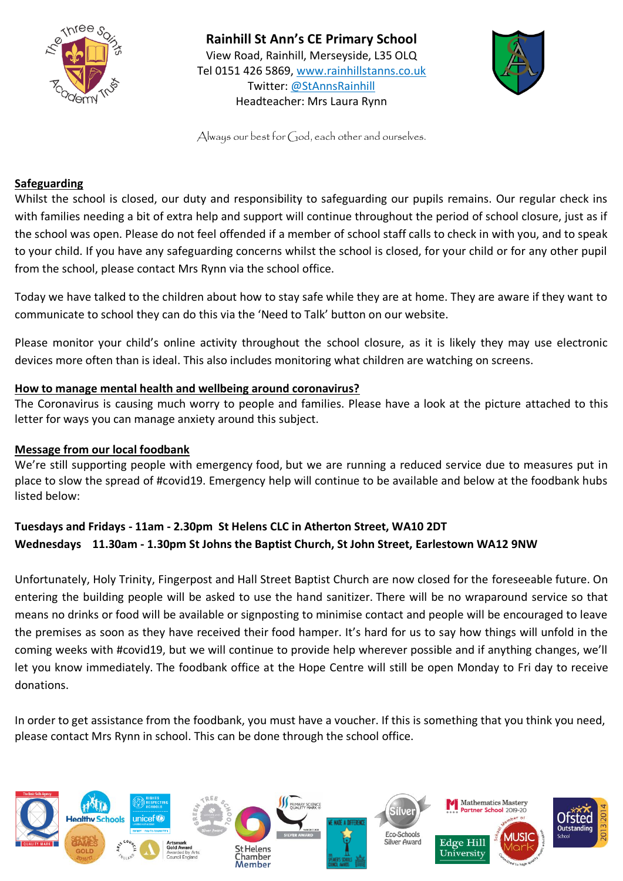



Always our best for God, each other and ourselves.

# **Safeguarding**

Whilst the school is closed, our duty and responsibility to safeguarding our pupils remains. Our regular check ins with families needing a bit of extra help and support will continue throughout the period of school closure, just as if the school was open. Please do not feel offended if a member of school staff calls to check in with you, and to speak to your child. If you have any safeguarding concerns whilst the school is closed, for your child or for any other pupil from the school, please contact Mrs Rynn via the school office.

Today we have talked to the children about how to stay safe while they are at home. They are aware if they want to communicate to school they can do this via the 'Need to Talk' button on our website.

Please monitor your child's online activity throughout the school closure, as it is likely they may use electronic devices more often than is ideal. This also includes monitoring what children are watching on screens.

# **How to manage mental health and wellbeing around coronavirus?**

The Coronavirus is causing much worry to people and families. Please have a look at the picture attached to this letter for ways you can manage anxiety around this subject.

#### **Message from our local foodbank**

We're still supporting people with emergency food, but we are running a reduced service due to measures put in place to slow the spread of #covid19. Emergency help will continue to be available and below at the foodbank hubs listed below:

# **Tuesdays and Fridays - 11am - 2.30pm St Helens CLC in Atherton Street, WA10 2DT Wednesdays 11.30am - 1.30pm St Johns the Baptist Church, St John Street, Earlestown WA12 9NW**

Unfortunately, Holy Trinity, Fingerpost and Hall Street Baptist Church are now closed for the foreseeable future. On entering the building people will be asked to use the hand sanitizer. There will be no wraparound service so that means no drinks or food will be available or signposting to minimise contact and people will be encouraged to leave the premises as soon as they have received their food hamper. It's hard for us to say how things will unfold in the coming weeks with #covid19, but we will continue to provide help wherever possible and if anything changes, we'll let you know immediately. The foodbank office at the Hope Centre will still be open Monday to Fri day to receive donations.

In order to get assistance from the foodbank, you must have a voucher. If this is something that you think you need, please contact Mrs Rynn in school. This can be done through the school office.